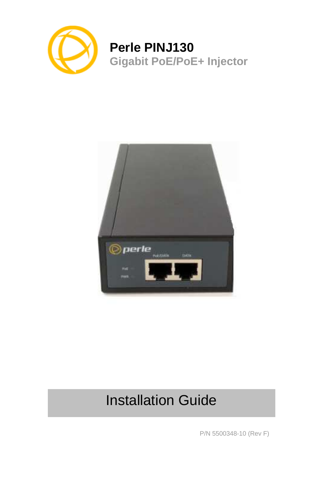

## **Perle PINJ130 Gigabit PoE/PoE+ Injector**



# Installation Guide

P/N 5500348-10 (Rev F)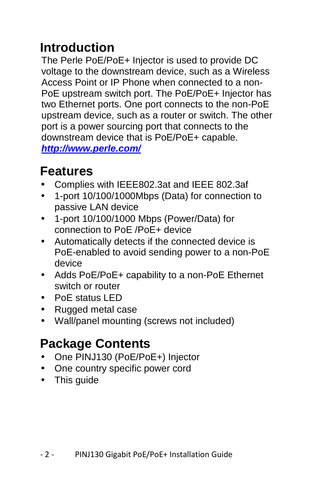## **Introduction**

The Perle PoE/PoE+ Injector is used to provide DC voltage to the downstream device, such as a Wireless Access Point or IP Phone when connected to a non-PoE upstream switch port. The PoE/PoE+ Injector has two Ethernet ports. One port connects to the non-PoE upstream device, such as a router or switch. The other port is a power sourcing port that connects to the downstream device that is PoE/PoE+ capable. **http://www.perle.com/**

## **Features**

- Complies with IEEE802.3at and IEEE 802.3af
- 1-port 10/100/1000Mbps (Data) for connection to passive LAN device
- 1-port 10/100/1000 Mbps (Power/Data) for connection to PoE /PoE+ device
- Automatically detects if the connected device is PoE-enabled to avoid sending power to a non-PoE device
- Adds PoE/PoE+ capability to a non-PoE Ethernet switch or router
- PoE status LED
- Rugged metal case
- Wall/panel mounting (screws not included)

## **Package Contents**

- One PINJ130 (PoE/PoE+) Injector
- One country specific power cord
- This guide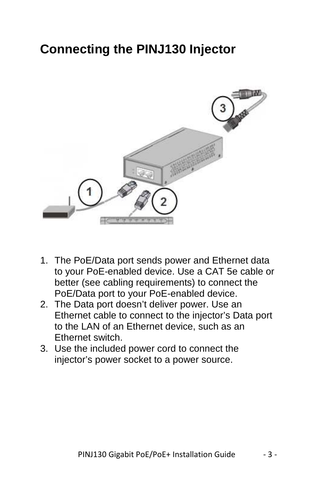## **Connecting the PINJ130 Injector**



- 1. The PoE/Data port sends power and Ethernet data to your PoE-enabled device. Use a CAT 5e cable or better (see cabling requirements) to connect the PoE/Data port to your PoE-enabled device.
- 2. The Data port doesn't deliver power. Use an Ethernet cable to connect to the injector's Data port to the LAN of an Ethernet device, such as an Ethernet switch.
- 3. Use the included power cord to connect the injector's power socket to a power source.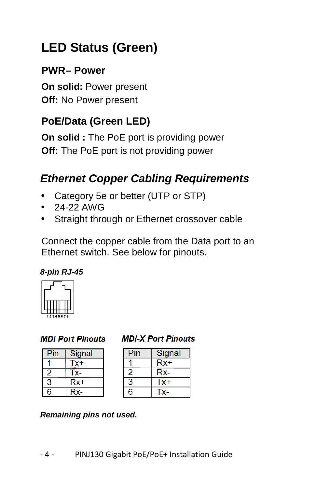## **LED Status (Green)**

### **PWR– Power**

**On solid:** Power present **Off:** No Power present

### **PoE/Data (Green LED)**

**On solid :** The PoE port is providing power **Off:** The PoE port is not providing power

### **Ethernet Copper Cabling Requirements**

- Category 5e or better (UTP or STP)
- 24-22 AWG
- Straight through or Ethernet crossover cable

Connect the copper cable from the Data port to an Ethernet switch. See below for pinouts.





#### **MDI Port Pinouts**

| Pin | Signal       |
|-----|--------------|
|     | Tx+<br>wwww  |
|     | $\mathbf{x}$ |
|     | $Rx+$        |
| G   | <b>C-</b>    |

#### **MDI-X Port Pinouts**

| Pin | Signal |
|-----|--------|
|     | Rx+    |
| 2   | Rx-    |
| 3   | Tx+    |
| Բ   | Tx-    |

#### **Remaining pins not used.**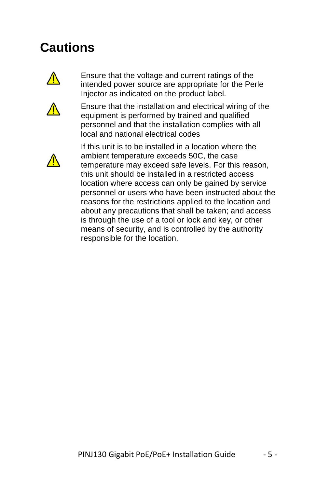## **Cautions**



Ensure that the voltage and current ratings of the intended power source are appropriate for the Perle Injector as indicated on the product label.



Ensure that the installation and electrical wiring of the equipment is performed by trained and qualified personnel and that the installation complies with all local and national electrical codes



If this unit is to be installed in a location where the ambient temperature exceeds 50C, the case temperature may exceed safe levels. For this reason, this unit should be installed in a restricted access location where access can only be gained by service personnel or users who have been instructed about the reasons for the restrictions applied to the location and about any precautions that shall be taken; and access is through the use of a tool or lock and key, or other means of security, and is controlled by the authority responsible for the location.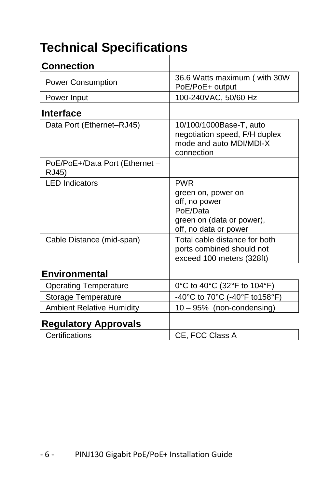## **Technical Specifications**

| <b>Connection</b>                       |                                                                                                                     |
|-----------------------------------------|---------------------------------------------------------------------------------------------------------------------|
| <b>Power Consumption</b>                | 36.6 Watts maximum (with 30W<br>PoE/PoE+ output                                                                     |
| Power Input                             | 100-240VAC, 50/60 Hz                                                                                                |
| <b>Interface</b>                        |                                                                                                                     |
| Data Port (Ethernet-RJ45)               | 10/100/1000Base-T, auto<br>negotiation speed, F/H duplex<br>mode and auto MDI/MDI-X<br>connection                   |
| PoE/PoE+/Data Port (Ethernet -<br>RJ45) |                                                                                                                     |
| <b>LED Indicators</b>                   | <b>PWR</b><br>green on, power on<br>off, no power<br>PoE/Data<br>green on (data or power),<br>off, no data or power |
| Cable Distance (mid-span)               | Total cable distance for both<br>ports combined should not<br>exceed 100 meters (328ft)                             |
| <b>Environmental</b>                    |                                                                                                                     |
| <b>Operating Temperature</b>            | 0°C to 40°C (32°F to 104°F)                                                                                         |
| <b>Storage Temperature</b>              | -40°C to 70°C (-40°F to 158°F)                                                                                      |
| <b>Ambient Relative Humidity</b>        | 10 - 95% (non-condensing)                                                                                           |
| <b>Regulatory Approvals</b>             |                                                                                                                     |
| Certifications                          | CE, FCC Class A                                                                                                     |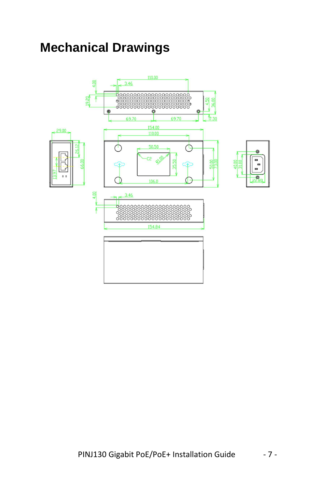## **Mechanical Drawings**